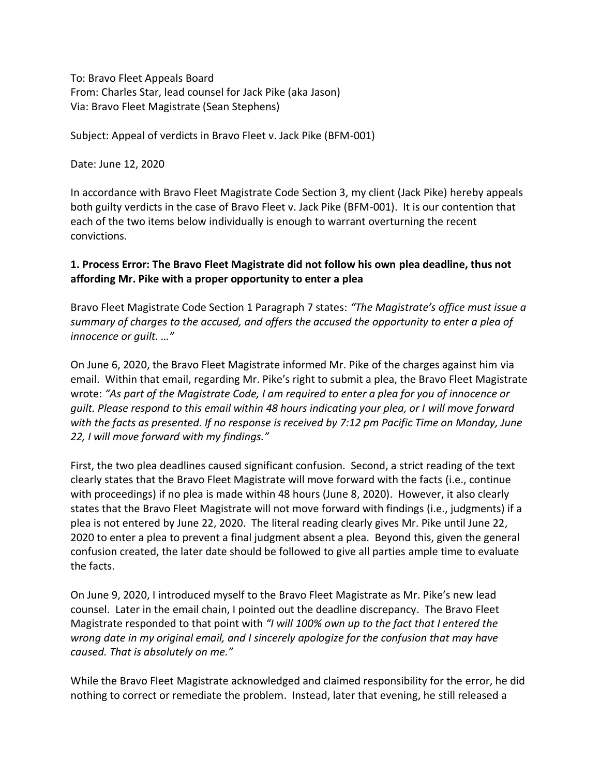To: Bravo Fleet Appeals Board From: Charles Star, lead counsel for Jack Pike (aka Jason) Via: Bravo Fleet Magistrate (Sean Stephens)

Subject: Appeal of verdicts in Bravo Fleet v. Jack Pike (BFM-001)

Date: June 12, 2020

In accordance with Bravo Fleet Magistrate Code Section 3, my client (Jack Pike) hereby appeals both guilty verdicts in the case of Bravo Fleet v. Jack Pike (BFM-001). It is our contention that each of the two items below individually is enough to warrant overturning the recent convictions.

## **1. Process Error: The Bravo Fleet Magistrate did not follow his own plea deadline, thus not affording Mr. Pike with a proper opportunity to enter a plea**

Bravo Fleet Magistrate Code Section 1 Paragraph 7 states: *"The Magistrate's office must issue a summary of charges to the accused, and offers the accused the opportunity to enter a plea of innocence or guilt. …"*

On June 6, 2020, the Bravo Fleet Magistrate informed Mr. Pike of the charges against him via email. Within that email, regarding Mr. Pike's right to submit a plea, the Bravo Fleet Magistrate wrote: *"As part of the Magistrate Code, I am required to enter a plea for you of innocence or guilt. Please respond to this email within 48 hours indicating your plea, or I will move forward with the facts as presented. If no response is received by 7:12 pm Pacific Time on Monday, June 22, I will move forward with my findings."*

First, the two plea deadlines caused significant confusion. Second, a strict reading of the text clearly states that the Bravo Fleet Magistrate will move forward with the facts (i.e., continue with proceedings) if no plea is made within 48 hours (June 8, 2020). However, it also clearly states that the Bravo Fleet Magistrate will not move forward with findings (i.e., judgments) if a plea is not entered by June 22, 2020. The literal reading clearly gives Mr. Pike until June 22, 2020 to enter a plea to prevent a final judgment absent a plea. Beyond this, given the general confusion created, the later date should be followed to give all parties ample time to evaluate the facts.

On June 9, 2020, I introduced myself to the Bravo Fleet Magistrate as Mr. Pike's new lead counsel. Later in the email chain, I pointed out the deadline discrepancy. The Bravo Fleet Magistrate responded to that point with *"I will 100% own up to the fact that I entered the wrong date in my original email, and I sincerely apologize for the confusion that may have caused. That is absolutely on me."*

While the Bravo Fleet Magistrate acknowledged and claimed responsibility for the error, he did nothing to correct or remediate the problem. Instead, later that evening, he still released a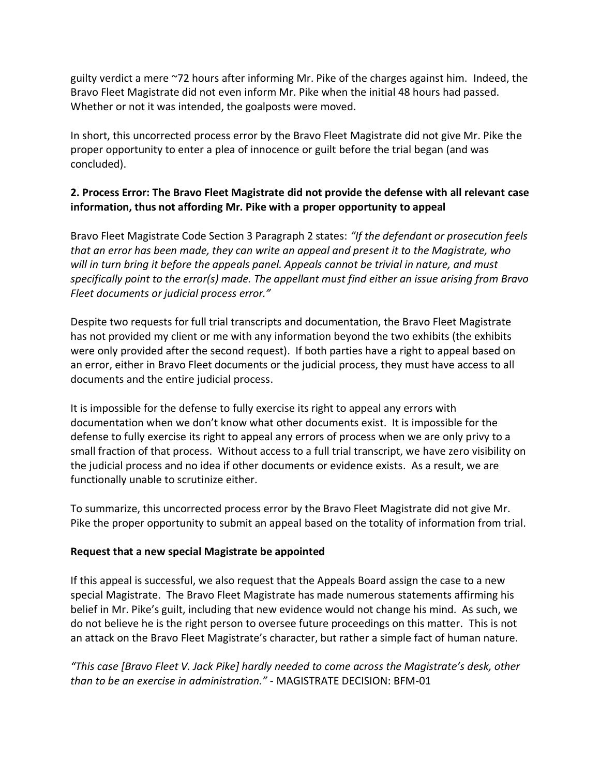guilty verdict a mere ~72 hours after informing Mr. Pike of the charges against him. Indeed, the Bravo Fleet Magistrate did not even inform Mr. Pike when the initial 48 hours had passed. Whether or not it was intended, the goalposts were moved.

In short, this uncorrected process error by the Bravo Fleet Magistrate did not give Mr. Pike the proper opportunity to enter a plea of innocence or guilt before the trial began (and was concluded).

## **2. Process Error: The Bravo Fleet Magistrate did not provide the defense with all relevant case information, thus not affording Mr. Pike with a proper opportunity to appeal**

Bravo Fleet Magistrate Code Section 3 Paragraph 2 states: *"If the defendant or prosecution feels that an error has been made, they can write an appeal and present it to the Magistrate, who will in turn bring it before the appeals panel. Appeals cannot be trivial in nature, and must specifically point to the error(s) made. The appellant must find either an issue arising from Bravo Fleet documents or judicial process error."*

Despite two requests for full trial transcripts and documentation, the Bravo Fleet Magistrate has not provided my client or me with any information beyond the two exhibits (the exhibits were only provided after the second request). If both parties have a right to appeal based on an error, either in Bravo Fleet documents or the judicial process, they must have access to all documents and the entire judicial process.

It is impossible for the defense to fully exercise its right to appeal any errors with documentation when we don't know what other documents exist. It is impossible for the defense to fully exercise its right to appeal any errors of process when we are only privy to a small fraction of that process. Without access to a full trial transcript, we have zero visibility on the judicial process and no idea if other documents or evidence exists. As a result, we are functionally unable to scrutinize either.

To summarize, this uncorrected process error by the Bravo Fleet Magistrate did not give Mr. Pike the proper opportunity to submit an appeal based on the totality of information from trial.

## **Request that a new special Magistrate be appointed**

If this appeal is successful, we also request that the Appeals Board assign the case to a new special Magistrate. The Bravo Fleet Magistrate has made numerous statements affirming his belief in Mr. Pike's guilt, including that new evidence would not change his mind. As such, we do not believe he is the right person to oversee future proceedings on this matter. This is not an attack on the Bravo Fleet Magistrate's character, but rather a simple fact of human nature.

*"This case [Bravo Fleet V. Jack Pike] hardly needed to come across the Magistrate's desk, other than to be an exercise in administration."* - MAGISTRATE DECISION: BFM-01